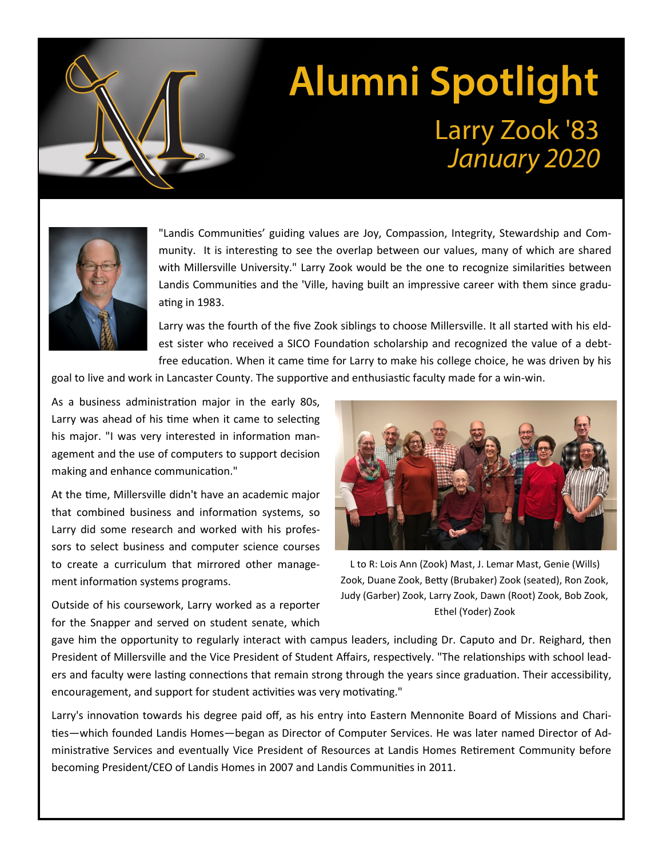## **Alumni Spotlight** Larry Zook '83 January 2020



"Landis Communities' guiding values are Joy, Compassion, Integrity, Stewardship and Community. It is interesting to see the overlap between our values, many of which are shared with Millersville University." Larry Zook would be the one to recognize similarities between Landis Communities and the 'Ville, having built an impressive career with them since graduating in 1983.

Larry was the fourth of the five Zook siblings to choose Millersville. It all started with his eldest sister who received a SICO Foundation scholarship and recognized the value of a debtfree education. When it came time for Larry to make his college choice, he was driven by his

goal to live and work in Lancaster County. The supportive and enthusiastic faculty made for a win-win.

As a business administration major in the early 80s, Larry was ahead of his time when it came to selecting his major. "I was very interested in information management and the use of computers to support decision making and enhance communication."

At the time, Millersville didn't have an academic major that combined business and information systems, so Larry did some research and worked with his professors to select business and computer science courses to create a curriculum that mirrored other management information systems programs.

Outside of his coursework, Larry worked as a reporter for the Snapper and served on student senate, which



L to R: Lois Ann (Zook) Mast, J. Lemar Mast, Genie (Wills) Zook, Duane Zook, Betty (Brubaker) Zook (seated), Ron Zook, Judy (Garber) Zook, Larry Zook, Dawn (Root) Zook, Bob Zook, Ethel (Yoder) Zook

gave him the opportunity to regularly interact with campus leaders, including Dr. Caputo and Dr. Reighard, then President of Millersville and the Vice President of Student Affairs, respectively. "The relationships with school leaders and faculty were lasting connections that remain strong through the years since graduation. Their accessibility, encouragement, and support for student activities was very motivating."

Larry's innovation towards his degree paid off, as his entry into Eastern Mennonite Board of Missions and Charities—which founded Landis Homes—began as Director of Computer Services. He was later named Director of Administrative Services and eventually Vice President of Resources at Landis Homes Retirement Community before becoming President/CEO of Landis Homes in 2007 and Landis Communities in 2011.